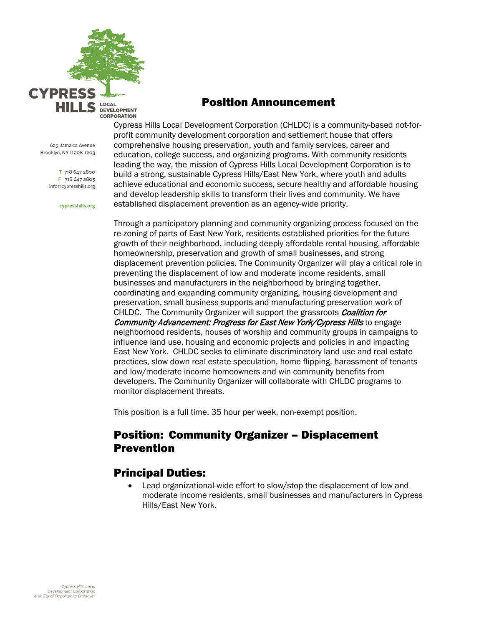

625 Jamaica Avenue Brooklyn, NY 11208-1203

> T 718 647 2800 F 718 647 2805 info@cypresshills.org

> > cypresshills.org

## Position Announcement

Cypress Hills Local Development Corporation (CHLDC) is a community-based not-forprofit community development corporation and settlement house that offers comprehensive housing preservation, youth and family services, career and education, college success, and organizing programs. With community residents leading the way, the mission of Cypress Hills Local Development Corporation is to build a strong, sustainable Cypress Hills/East New York, where youth and adults achieve educational and economic success, secure healthy and affordable housing and develop leadership skills to transform their lives and community. We have established displacement prevention as an agency-wide priority.

Through a participatory planning and community organizing process focused on the re-zoning of parts of East New York, residents established priorities for the future growth of their neighborhood, including deeply affordable rental housing, affordable homeownership, preservation and growth of small businesses, and strong displacement prevention policies. The Community Organizer will play a critical role in preventing the displacement of low and moderate income residents, small businesses and manufacturers in the neighborhood by bringing together, coordinating and expanding community organizing, housing development and preservation, small business supports and manufacturing preservation work of CHLDC. The Community Organizer will support the grassroots Coalition for Community Advancement: Progress for East New York/Cypress Hills to engage neighborhood residents, houses of worship and community groups in campaigns to influence land use, housing and economic projects and policies in and impacting East New York. CHLDC seeks to eliminate discriminatory land use and real estate practices, slow down real estate speculation, home flipping, harassment of tenants and low/moderate income homeowners and win community benefits from developers. The Community Organizer will collaborate with CHLDC programs to monitor displacement threats.

This position is a full time, 35 hour per week, non-exempt position.

## Position: Community Organizer – Displacement Prevention

## Principal Duties:

• Lead organizational-wide effort to slow/stop the displacement of low and moderate income residents, small businesses and manufacturers in Cypress Hills/East New York.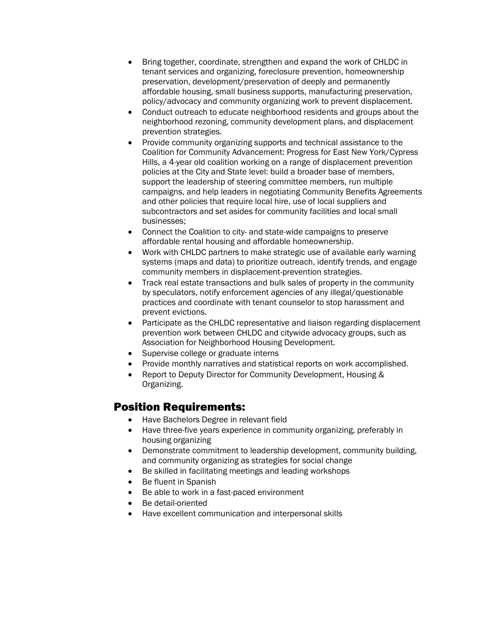- Bring together, coordinate, strengthen and expand the work of CHLDC in tenant services and organizing, foreclosure prevention, homeownership preservation, development/preservation of deeply and permanently affordable housing, small business supports, manufacturing preservation, policy/advocacy and community organizing work to prevent displacement.
- Conduct outreach to educate neighborhood residents and groups about the neighborhood rezoning, community development plans, and displacement prevention strategies.
- Provide community organizing supports and technical assistance to the Coalition for Community Advancement: Progress for East New York/Cypress Hills, a 4-year old coalition working on a range of displacement prevention policies at the City and State level: build a broader base of members, support the leadership of steering committee members, run multiple campaigns, and help leaders in negotiating Community Benefits Agreements and other policies that require local hire, use of local suppliers and subcontractors and set asides for community facilities and local small businesses;
- Connect the Coalition to city- and state-wide campaigns to preserve affordable rental housing and affordable homeownership.
- Work with CHLDC partners to make strategic use of available early warning systems (maps and data) to prioritize outreach, identify trends, and engage community members in displacement-prevention strategies.
- Track real estate transactions and bulk sales of property in the community by speculators, notify enforcement agencies of any illegal/questionable practices and coordinate with tenant counselor to stop harassment and prevent evictions.
- Participate as the CHLDC representative and liaison regarding displacement prevention work between CHLDC and citywide advocacy groups, such as Association for Neighborhood Housing Development.
- Supervise college or graduate interns
- Provide monthly narratives and statistical reports on work accomplished.
- Report to Deputy Director for Community Development, Housing & Organizing.

## Position Requirements:

- Have Bachelors Degree in relevant field
- Have three-five years experience in community organizing, preferably in housing organizing
- Demonstrate commitment to leadership development, community building, and community organizing as strategies for social change
- Be skilled in facilitating meetings and leading workshops
- Be fluent in Spanish
- Be able to work in a fast-paced environment
- Be detail-oriented
- Have excellent communication and interpersonal skills